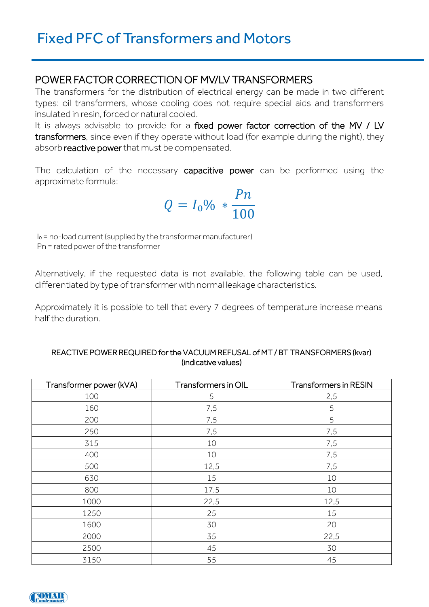## POWER FACTOR CORRECTION OF MV/LV TRANSFORMERS

The transformers for the distribution of electrical energy can be made in two different types: oil transformers, whose cooling does not require special aids and transformers insulated in resin, forced or natural cooled.

It is always advisable to provide for a fixed power factor correction of the MV / LV transformers, since even if they operate without load (for example during the night), they absorb reactive power that must be compensated.

The calculation of the necessary capacitive power can be performed using the approximate formula:

> $Q = I_0\% *$ P<sub>n</sub> 100

Io = no-load current (supplied by the transformer manufacturer) Pn = rated power of the transformer

Alternatively, if the requested data is not available, the following table can be used, differentiated by type of transformer with normal leakage characteristics.

Approximately it is possible to tell that every 7 degrees of temperature increase means halfthe duration.

| Transformer power (kVA) | Transformers in OIL | <b>Transformers in RESIN</b> |  |  |
|-------------------------|---------------------|------------------------------|--|--|
| 100                     | 5                   | 2,5                          |  |  |
| 160                     | 7,5                 | 5                            |  |  |
| 200                     | 7,5                 | 5                            |  |  |
| 250                     | 7,5                 | 7,5                          |  |  |
| 315                     | 10                  | 7,5                          |  |  |
| 400                     | 10                  | 7,5                          |  |  |
| 500                     | 12,5                | 7,5                          |  |  |
| 630                     | 15                  | 10                           |  |  |
| 800                     | 17,5                | 10                           |  |  |
| 1000                    | 22,5                | 12,5                         |  |  |
| 1250                    | 25                  | 15                           |  |  |
| 1600                    | 30                  | 20                           |  |  |
| 2000                    | 35                  | 22,5                         |  |  |
| 2500                    | 45                  | 30                           |  |  |
| 3150                    | 55                  | 45                           |  |  |

## REACTIVE POWER REQUIRED for the VACUUM REFUSAL of MT / BT TRANSFORMERS (kvar) (indicative values)